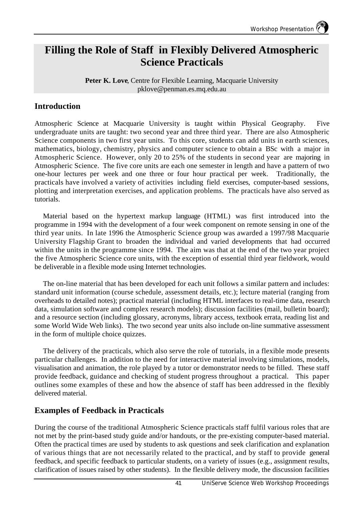# **Filling the Role of Staff in Flexibly Delivered Atmospheric Science Practicals**

Peter K. Love, Centre for Flexible Learning, Macquarie University pklove@penman.es.mq.edu.au

## **Introduction**

Atmospheric Science at Macquarie University is taught within Physical Geography. Five undergraduate units are taught: two second year and three third year. There are also Atmospheric Science components in two first year units. To this core, students can add units in earth sciences, mathematics, biology, chemistry, physics and computer science to obtain a BSc with a major in Atmospheric Science. However, only 20 to 25% of the students in second year are majoring in Atmospheric Science. The five core units are each one semester in length and have a pattern of two one-hour lectures per week and one three or four hour practical per week. Traditionally, the practicals have involved a variety of activities including field exercises, computer-based sessions, plotting and interpretation exercises, and application problems. The practicals have also served as tutorials.

Material based on the hypertext markup language (HTML) was first introduced into the programme in 1994 with the development of a four week component on remote sensing in one of the third year units. In late 1996 the Atmospheric Science group was awarded a 1997/98 Macquarie University Flagship Grant to broaden the individual and varied developments that had occurred within the units in the programme since 1994. The aim was that at the end of the two year project the five Atmospheric Science core units, with the exception of essential third year fieldwork, would be deliverable in a flexible mode using Internet technologies.

The on-line material that has been developed for each unit follows a similar pattern and includes: standard unit information (course schedule, assessment details, etc.); lecture material (ranging from overheads to detailed notes); practical material (including HTML interfaces to real-time data, research data, simulation software and complex research models); discussion facilities (mail, bulletin board); and a resource section (including glossary, acronyms, library access, textbook errata, reading list and some World Wide Web links). The two second year units also include on-line summative assessment in the form of multiple choice quizzes.

The delivery of the practicals, which also serve the role of tutorials, in a flexible mode presents particular challenges. In addition to the need for interactive material involving simulations, models, visualisation and animation, the role played by a tutor or demonstrator needs to be filled. These staff provide feedback, guidance and checking of student progress throughout a practical. This paper outlines some examples of these and how the absence of staff has been addressed in the flexibly delivered material.

# **Examples of Feedback in Practicals**

During the course of the traditional Atmospheric Science practicals staff fulfil various roles that are not met by the print-based study guide and/or handouts, or the pre-existing computer-based material. Often the practical times are used by students to ask questions and seek clarification and explanation of various things that are not necessarily related to the practical, and by staff to provide general feedback, and specific feedback to particular students, on a variety of issues (e.g., assignment results, clarification of issues raised by other students). In the flexible delivery mode, the discussion facilities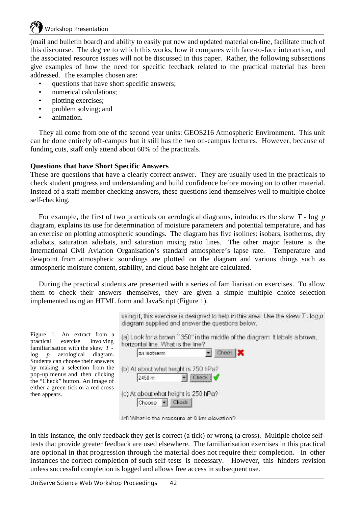(mail and bulletin board) and ability to easily put new and updated material on-line, facilitate much of this discourse. The degree to which this works, how it compares with face-to-face interaction, and the associated resource issues will not be discussed in this paper. Rather, the following subsections give examples of how the need for specific feedback related to the practical material has been addressed. The examples chosen are:

- questions that have short specific answers;
- numerical calculations:
- plotting exercises;
- problem solving; and
- animation.

They all come from one of the second year units: GEOS216 Atmospheric Environment. This unit can be done entirely off-campus but it still has the two on-campus lectures. However, because of funding cuts, staff only attend about 60% of the practicals.

#### **Questions that have Short Specific Answers**

These are questions that have a clearly correct answer. They are usually used in the practicals to check student progress and understanding and build confidence before moving on to other material. Instead of a staff member checking answers, these questions lend themselves well to multiple choice self-checking.

For example, the first of two practicals on aerological diagrams, introduces the skew *T* - log *p* diagram, explains its use for determination of moisture parameters and potential temperature, and has an exercise on plotting atmospheric soundings. The diagram has five isolines: isobars, isotherms, dry adiabats, saturation adiabats, and saturation mixing ratio lines. The other major feature is the International Civil Aviation Organisation's standard atmosphere's lapse rate. Temperature and dewpoint from atmospheric soundings are plotted on the diagram and various things such as atmospheric moisture content, stability, and cloud base height are calculated.

During the practical students are presented with a series of familiarisation exercises. To allow them to check their answers themselves, they are given a simple multiple choice selection implemented using an HTML form and JavaScript (Figure 1).

Figure 1. An extract from a practical exercise involving familiarisation with the skew *T* log *p* aerological diagram. Students can choose their answers by making a selection from the pop-up menus and then clicking the "Check" button. An image of either a green tick or a red cross then appears.

using it, this exercise is designed to help in this area. Use the skew  $T$ -log  $\rho$ diagram supplied and answer the questions below.

(d) Mhat is the pressure at 0 km elevation?

In this instance, the only feedback they get is correct (a tick) or wrong (a cross). Multiple choice selftests that provide greater feedback are used elsewhere. The familiarisation exercises in this practical are optional in that progression through the material does not require their completion. In other instances the correct completion of such self-tests is necessary. However, this hinders revision unless successful completion is logged and allows free access in subsequent use.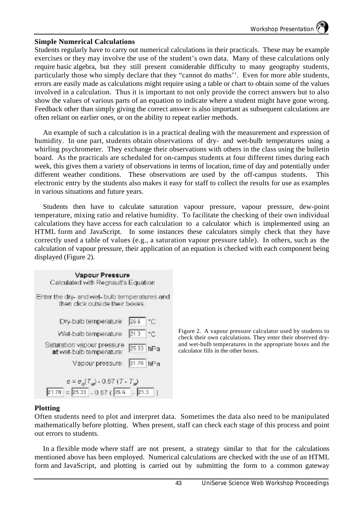#### **Simple Numerical Calculations**

Students regularly have to carry out numerical calculations in their practicals. These may be example exercises or they may involve the use of the student's own data. Many of these calculations only require basic algebra, but they still present considerable difficulty to many geography students, particularly those who simply declare that they "cannot do maths''. Even for more able students, errors are easily made as calculations might require using a table or chart to obtain some of the values involved in a calculation. Thus it is important to not only provide the correct answers but to also show the values of various parts of an equation to indicate where a student might have gone wrong. Feedback other than simply giving the correct answer is also important as subsequent calculations are often reliant on earlier ones, or on the ability to repeat earlier methods.

An example of such a calculation is in a practical dealing with the measurement and expression of humidity. In one part, students obtain observations of dry- and wet-bulb temperatures using a whirling psychrometer. They exchange their observations with others in the class using the bulletin board. As the practicals are scheduled for on-campus students at four different times during each week, this gives them a variety of observations in terms of location, time of day and potentially under different weather conditions. These observations are used by the off-campus students. This electronic entry by the students also makes it easy for staff to collect the results for use as examples in various situations and future years.

Students then have to calculate saturation vapour pressure, vapour pressure, dew-point temperature, mixing ratio and relative humidity. To facilitate the checking of their own individual calculations they have access for each calculation to a calculator which is implemented using an HTML form and JavaScript. In some instances these calculators simply check that they have correctly used a table of values (e.g., a saturation vapour pressure table). In others, such as the calculation of vapour pressure, their application of an equation is checked with each component being displayed (Figure 2).

| Vapour Pressure<br>Calculated with Regnault's Equation                           |           |              |
|----------------------------------------------------------------------------------|-----------|--------------|
| Enter the dry- and wet- bulb temperatures and<br>then click outside their boxes. |           |              |
| Dry-bulb temperature:                                                            | 26.6      | $^{\circ}$ C |
| Wet-bulb temperature:                                                            | 21.3      | ٠r           |
| Saturation vapour pressure<br>at wet-bulb temperature:                           | 25.33 hPa |              |
| Vapour pressure:                                                                 | 21.28     | hPa          |
| $e = e_s[T_w] - 0.67(T - T_w)$                                                   |           |              |
| $= 25.33 - 0.67$ ( $26.6 - 21.3$<br>21.78                                        |           |              |

Figure 2. A vapour pressure calculator used by students to check their own calculations. They enter their observed dryand wet-bulb temperatures in the appropriate boxes and the calculator fills in the other boxes.

#### **Plotting**

Often students need to plot and interpret data. Sometimes the data also need to be manipulated mathematically before plotting. When present, staff can check each stage of this process and point out errors to students.

In a flexible mode where staff are not present, a strategy similar to that for the calculations mentioned above has been employed. Numerical calculations are checked with the use of an HTML form and JavaScript, and plotting is carried out by submitting the form to a common gateway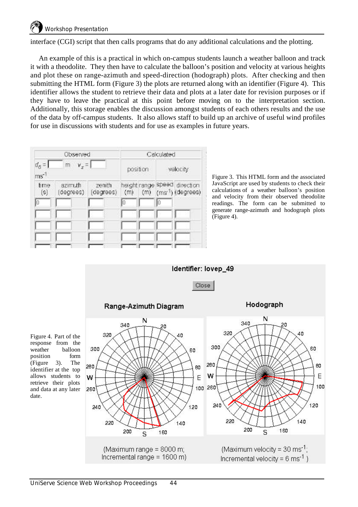interface (CGI) script that then calls programs that do any additional calculations and the plotting.

An example of this is a practical in which on-campus students launch a weather balloon and track it with a theodolite. They then have to calculate the balloon's position and velocity at various heights and plot these on range-azimuth and speed-direction (hodograph) plots. After checking and then submitting the HTML form (Figure 3) the plots are returned along with an identifier (Figure 4). This identifier allows the student to retrieve their data and plots at a later date for revision purposes or if they have to leave the practical at this point before moving on to the interpretation section. Additionally, this storage enables the discussion amongst students of each others results and the use of the data by off-campus students. It also allows staff to build up an archive of useful wind profiles for use in discussions with students and for use as examples in future years.



Figure 3. This HTML form and the associated JavaScript are used by students to check their calculations of a weather balloon's position and velocity from their observed theodolite readings. The form can be submitted to generate range-azimuth and hodograph plots (Figure 4).



response from the weather balloon position form (Figure 3). The identifier at the top allows students to retrieve their plots and data at any later date.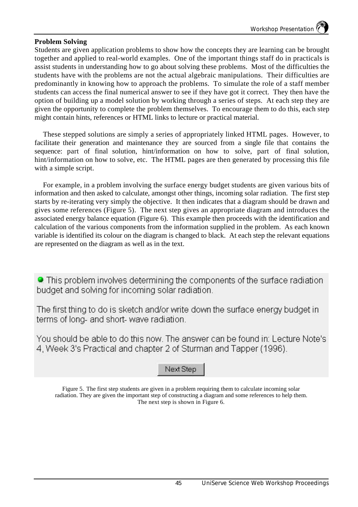#### **Problem Solving**

Students are given application problems to show how the concepts they are learning can be brought together and applied to real-world examples. One of the important things staff do in practicals is assist students in understanding how to go about solving these problems. Most of the difficulties the students have with the problems are not the actual algebraic manipulations. Their difficulties are predominantly in knowing how to approach the problems. To simulate the role of a staff member students can access the final numerical answer to see if they have got it correct. They then have the option of building up a model solution by working through a series of steps. At each step they are given the opportunity to complete the problem themselves. To encourage them to do this, each step might contain hints, references or HTML links to lecture or practical material.

These stepped solutions are simply a series of appropriately linked HTML pages. However, to facilitate their generation and maintenance they are sourced from a single file that contains the sequence: part of final solution, hint/information on how to solve, part of final solution, hint/information on how to solve, etc. The HTML pages are then generated by processing this file with a simple script.

For example, in a problem involving the surface energy budget students are given various bits of information and then asked to calculate, amongst other things, incoming solar radiation. The first step starts by re-iterating very simply the objective. It then indicates that a diagram should be drawn and gives some references (Figure 5). The next step gives an appropriate diagram and introduces the associated energy balance equation (Figure 6). This example then proceeds with the identification and calculation of the various components from the information supplied in the problem. As each known variable is identified its colour on the diagram is changed to black. At each step the relevant equations are represented on the diagram as well as in the text.

• This problem involves determining the components of the surface radiation budget and solving for incoming solar radiation.

The first thing to do is sketch and/or write down the surface energy budget in terms of long- and short- wave radiation.

You should be able to do this now. The answer can be found in: Lecture Note's 4, Week 3's Practical and chapter 2 of Sturman and Tapper (1996).

### Next Step

Figure 5. The first step students are given in a problem requiring them to calculate incoming solar radiation. They are given the important step of constructing a diagram and some references to help them. The next step is shown in Figure 6.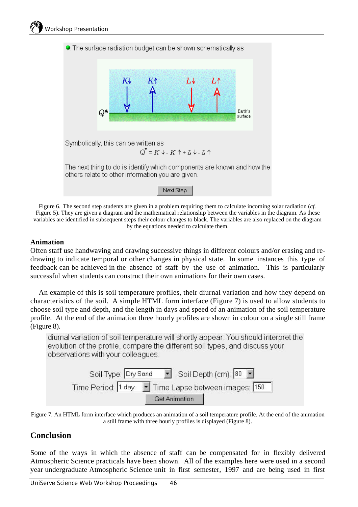

Figure 6. The second step students are given in a problem requiring them to calculate incoming solar radiation (*cf*. Figure 5). They are given a diagram and the mathematical relationship between the variables in the diagram. As these variables are identified in subsequent steps their colour changes to black. The variables are also replaced on the diagram by the equations needed to calculate them.

#### **Animation**

Often staff use handwaving and drawing successive things in different colours and/or erasing and redrawing to indicate temporal or other changes in physical state. In some instances this type of feedback can be achieved in the absence of staff by the use of animation. This is particularly successful when students can construct their own animations for their own cases.

An example of this is soil temperature profiles, their diurnal variation and how they depend on characteristics of the soil. A simple HTML form interface (Figure 7) is used to allow students to choose soil type and depth, and the length in days and speed of an animation of the soil temperature profile. At the end of the animation three hourly profiles are shown in colour on a single still frame (Figure 8).

diurnal variation of soil temperature will shortly appear. You should interpret the evolution of the profile, compare the different soil types, and discuss your observations with your colleagues.



Figure 7. An HTML form interface which produces an animation of a soil temperature profile. At the end of the animation a still frame with three hourly profiles is displayed (Figure 8).

# **Conclusion**

Some of the ways in which the absence of staff can be compensated for in flexibly delivered Atmospheric Science practicals have been shown. All of the examples here were used in a second year undergraduate Atmospheric Science unit in first semester, 1997 and are being used in first